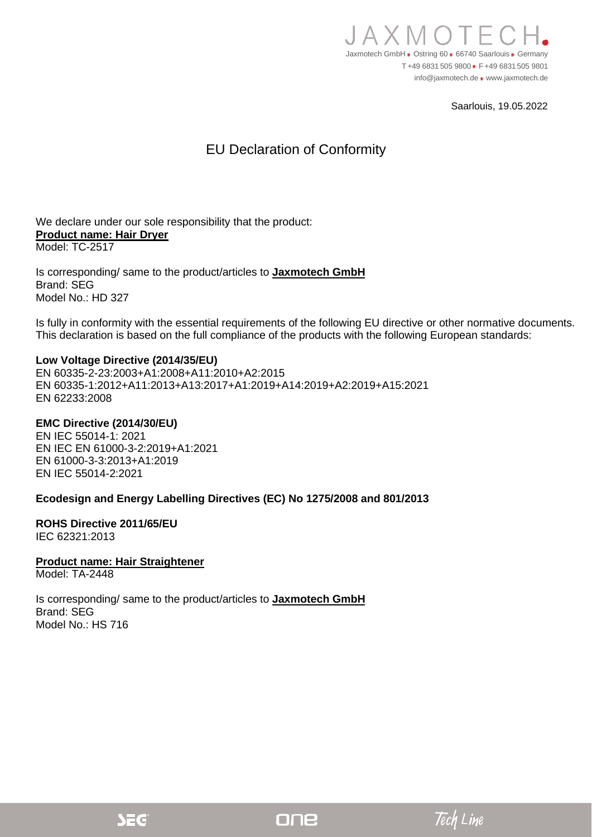

Saarlouis, 19.05.2022

## EU Declaration of Conformity

We declare under our sole responsibility that the product: **Product name: Hair Dryer** Model: TC-2517

Is corresponding/ same to the product/articles to **Jaxmotech GmbH** Brand: SEG Model No.: HD 327

Is fully in conformity with the essential requirements of the following EU directive or other normative documents. This declaration is based on the full compliance of the products with the following European standards:

#### **Low Voltage Directive (2014/35/EU)**

EN 60335-2-23:2003+A1:2008+A11:2010+A2:2015 EN 60335-1:2012+A11:2013+A13:2017+A1:2019+A14:2019+A2:2019+A15:2021 EN 62233:2008

### **EMC Directive (2014/30/EU)**

EN IEC 55014-1: 2021 EN IEC EN 61000-3-2:2019+A1:2021 EN 61000-3-3:2013+A1:2019 EN IEC 55014-2:2021

### **Ecodesign and Energy Labelling Directives (EC) No 1275/2008 and 801/2013**

### **ROHS Directive 2011/65/EU**

IEC 62321:2013

### **Product name: Hair Straightener**

Model: TA-2448

Is corresponding/ same to the product/articles to **Jaxmotech GmbH** Brand: SEG Model No.: HS 716